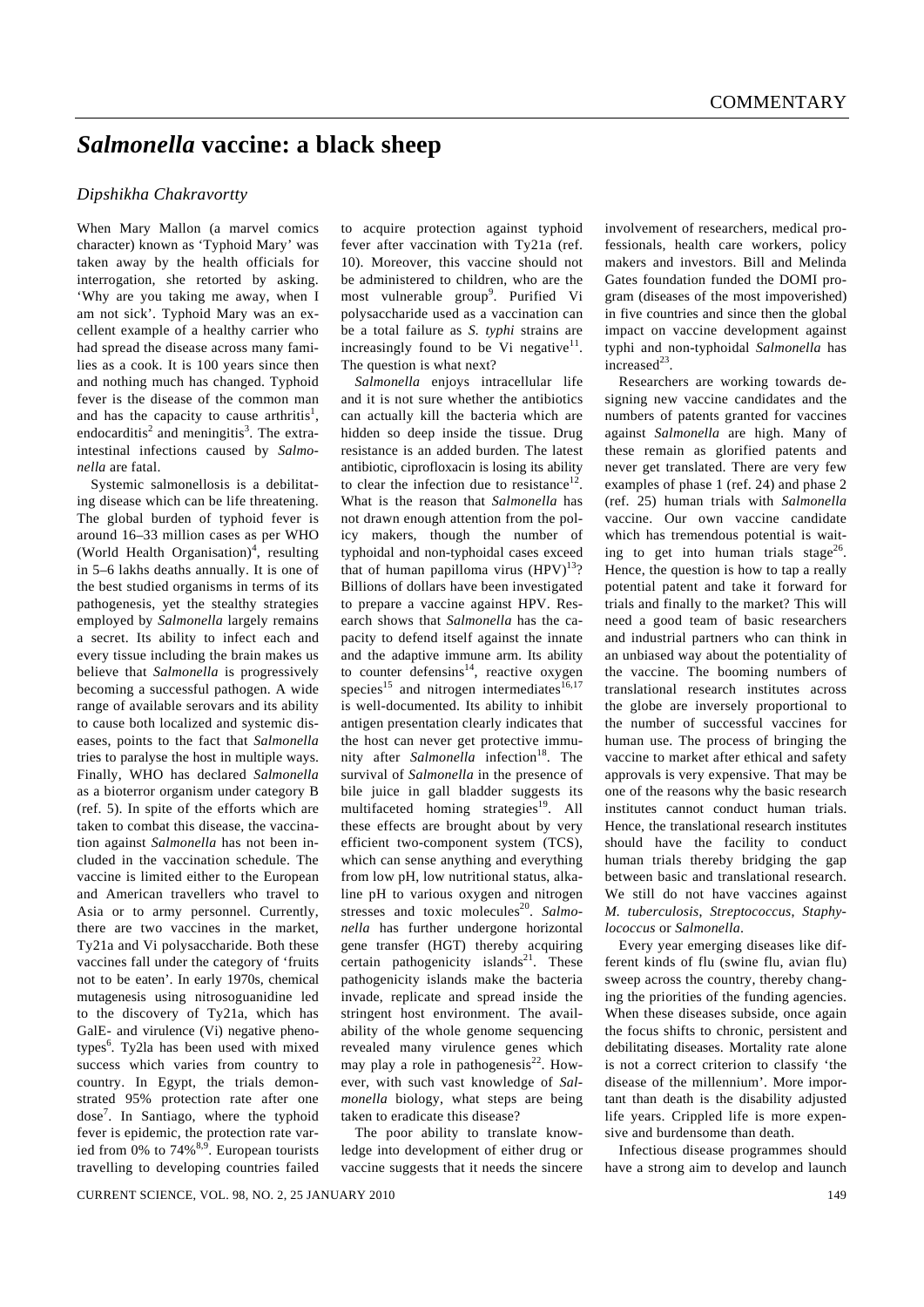## *Salmonella* **vaccine: a black sheep**

## *Dipshikha Chakravortty*

When Mary Mallon (a marvel comics character) known as 'Typhoid Mary' was taken away by the health officials for interrogation, she retorted by asking. 'Why are you taking me away, when I am not sick'. Typhoid Mary was an excellent example of a healthy carrier who had spread the disease across many families as a cook. It is 100 years since then and nothing much has changed. Typhoid fever is the disease of the common man and has the capacity to cause arthritis<sup>1</sup>, endocarditis<sup>2</sup> and meningitis<sup>3</sup>. The extraintestinal infections caused by *Salmonella* are fatal.

 Systemic salmonellosis is a debilitating disease which can be life threatening. The global burden of typhoid fever is around 16–33 million cases as per WHO (World Health Organisation)<sup>4</sup>, resulting in 5–6 lakhs deaths annually. It is one of the best studied organisms in terms of its pathogenesis, yet the stealthy strategies employed by *Salmonella* largely remains a secret. Its ability to infect each and every tissue including the brain makes us believe that *Salmonella* is progressively becoming a successful pathogen. A wide range of available serovars and its ability to cause both localized and systemic diseases, points to the fact that *Salmonella* tries to paralyse the host in multiple ways. Finally, WHO has declared *Salmonella*  as a bioterror organism under category B (ref. 5). In spite of the efforts which are taken to combat this disease, the vaccination against *Salmonella* has not been included in the vaccination schedule. The vaccine is limited either to the European and American travellers who travel to Asia or to army personnel. Currently, there are two vaccines in the market, Ty21a and Vi polysaccharide. Both these vaccines fall under the category of 'fruits not to be eaten'. In early 1970s, chemical mutagenesis using nitrosoguanidine led to the discovery of Ty21a, which has GalE- and virulence (Vi) negative phenotypes<sup>6</sup>. Ty2la has been used with mixed success which varies from country to country. In Egypt, the trials demonstrated 95% protection rate after one dose<sup>7</sup> . In Santiago, where the typhoid fever is epidemic, the protection rate varied from 0% to  $74\%^{8,9}$ . European tourists travelling to developing countries failed

to acquire protection against typhoid fever after vaccination with Ty21a (ref. 10). Moreover, this vaccine should not be administered to children, who are the most vulnerable group<sup>9</sup>. Purified Vi polysaccharide used as a vaccination can be a total failure as *S. typhi* strains are increasingly found to be Vi negative $11$ . The question is what next?

*Salmonella* enjoys intracellular life and it is not sure whether the antibiotics can actually kill the bacteria which are hidden so deep inside the tissue. Drug resistance is an added burden. The latest antibiotic, ciprofloxacin is losing its ability to clear the infection due to resistance<sup>12</sup>. What is the reason that *Salmonella* has not drawn enough attention from the policy makers, though the number of typhoidal and non-typhoidal cases exceed that of human papilloma virus  $(HPV)^{13}$ ? Billions of dollars have been investigated to prepare a vaccine against HPV. Research shows that *Salmonella* has the capacity to defend itself against the innate and the adaptive immune arm. Its ability to counter defensins $14$ , reactive oxygen species<sup>15</sup> and nitrogen intermediates<sup>16,17</sup> is well-documented. Its ability to inhibit antigen presentation clearly indicates that the host can never get protective immunity after *Salmonella* infection<sup>18</sup>. The survival of *Salmonella* in the presence of bile juice in gall bladder suggests its multifaceted homing strategies $19$ . All these effects are brought about by very efficient two-component system (TCS), which can sense anything and everything from low pH, low nutritional status, alkaline pH to various oxygen and nitrogen stresses and toxic molecules<sup>20</sup>. Salmo*nella* has further undergone horizontal gene transfer (HGT) thereby acquiring certain pathogenicity islands<sup>21</sup>. These pathogenicity islands make the bacteria invade, replicate and spread inside the stringent host environment. The availability of the whole genome sequencing revealed many virulence genes which may play a role in pathogenesis $^{22}$ . However, with such vast knowledge of *Salmonella* biology, what steps are being taken to eradicate this disease?

 The poor ability to translate knowledge into development of either drug or vaccine suggests that it needs the sincere involvement of researchers, medical professionals, health care workers, policy makers and investors. Bill and Melinda Gates foundation funded the DOMI program (diseases of the most impoverished) in five countries and since then the global impact on vaccine development against typhi and non-typhoidal *Salmonella* has increased<sup>23</sup>.

 Researchers are working towards designing new vaccine candidates and the numbers of patents granted for vaccines against *Salmonella* are high. Many of these remain as glorified patents and never get translated. There are very few examples of phase 1 (ref. 24) and phase 2 (ref. 25) human trials with *Salmonella* vaccine. Our own vaccine candidate which has tremendous potential is waiting to get into human trials stage<sup>26</sup>. Hence, the question is how to tap a really potential patent and take it forward for trials and finally to the market? This will need a good team of basic researchers and industrial partners who can think in an unbiased way about the potentiality of the vaccine. The booming numbers of translational research institutes across the globe are inversely proportional to the number of successful vaccines for human use. The process of bringing the vaccine to market after ethical and safety approvals is very expensive. That may be one of the reasons why the basic research institutes cannot conduct human trials. Hence, the translational research institutes should have the facility to conduct human trials thereby bridging the gap between basic and translational research. We still do not have vaccines against *M. tuberculosis*, *Streptococcus*, *Staphylococcus* or *Salmonella*.

 Every year emerging diseases like different kinds of flu (swine flu, avian flu) sweep across the country, thereby changing the priorities of the funding agencies. When these diseases subside, once again the focus shifts to chronic, persistent and debilitating diseases. Mortality rate alone is not a correct criterion to classify 'the disease of the millennium'. More important than death is the disability adjusted life years. Crippled life is more expensive and burdensome than death.

 Infectious disease programmes should have a strong aim to develop and launch

CURRENT SCIENCE, VOL. 98, NO. 2, 25 JANUARY 2010 149